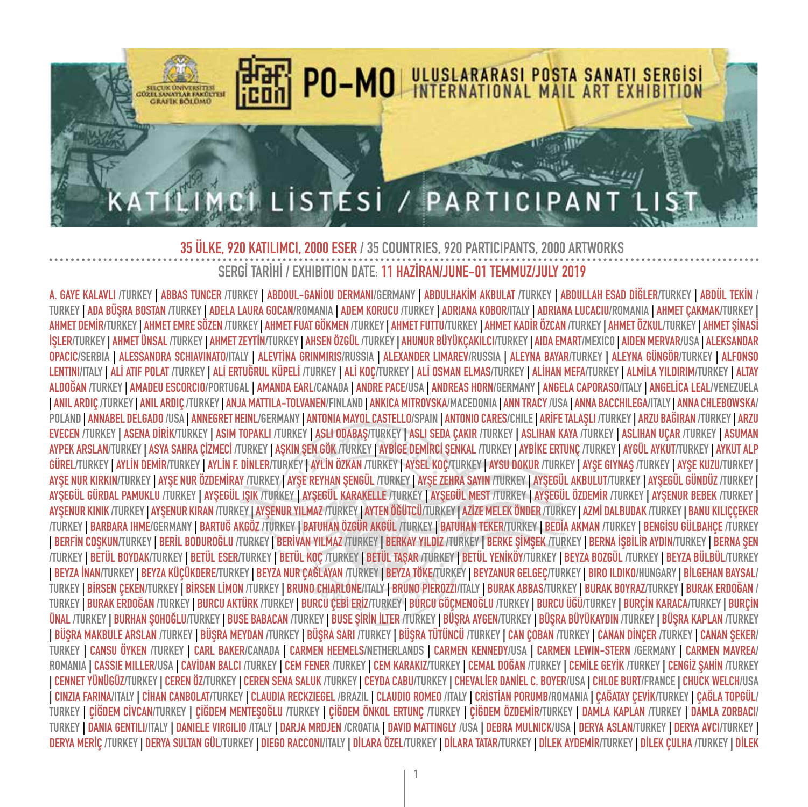

**A. GAYE KALAVLI /TURKEY | ABBAS TUNCER /TURKEY | ABDOUL-GANİOU DERMANI/GERMANY | ABDULHAKİM AKBULAT /TURKEY | ABDULLAH ESAD DİĞLER/TURKEY | ABDÜL TEKİN /** TURKEY | ADA BÜŞRA BOSTAN /TURKEY | ADELA LAURA GOCAN/ROMANIA | ADEM KORUCU /TURKEY | ADRIANA KOBOR/ITALY | ADRIANA LUCACIU/ROMANIA | AHMET ÇAKMAK/TURKEY | AHMET DEMIR/TURKEY | AHMET EMRE SÖZEN /TURKEY | AHMET FUAT GÖKMEN /TURKEY | AHMET FUTTU/TURKEY | AHMET KADIR ÖZCAN /TURKEY | AHMET ÖZKUL/TURKEY | AHMET SİNASİ İŞLER/TURKEY | AHMET ÜNSAL /TURKEY | AHMET ZEYTİN/TURKEY | AHSEN ÖZGÜL /TURKEY | AHUNUR BÜYÜKÇAKILCI/TURKEY | AIDA EMART/MEXICO | AIDEN MERVAR/USA | ALEKSANDAR **OPACIC/SERBIA | ALESSANDRA SCHIAVINATO/ITALY | ALEVTİNA GRINMIRIS/RUSSIA | ALEXANDER LIMAREV/RUSSIA | ALEYNA BAYAR/TURKEY | ALEYNA GÜNGÖR/TURKEY | ALFONSO**  LENTINI/ITALY | ALİ ATIF POLAT /TURKEY | ALİ ERTUĞRUL KÜPELİ /TURKEY | ALİ KOÇ/TURKEY | ALİ OSMAN ELMAS/TURKEY | ALİHAN MEFA/TURKEY | ALMİLA YILDIRIM/TURKEY | ALTAY **ALDOĞAN /TURKEY | AMADEU ESCORCIO/PORTUGAL | AMANDA EARL/CANADA | ANDRE PACE/USA | ANDREAS HORN/GERMANY | ANGELA CAPORASO/ITALY | ANGELİCA LEAL/VENEZUELA**  | ANIL ARDIÇ /TURKEY | ANIL ARDIÇ /TURKEY | ANJA MATTILA-TOLVANEN/FINLAND | ANKICA MITROVSKA/MACEDONIA | ANN TRACY /USA | ANNA BACCHILEGA/ITALY | ANNA CHLEBOWSKA/ POLAND | ANNABEL DELGADO /USA | ANNEGRET HEINL/GERMANY | ANTONIA MAYOL CASTELLO/SPAIN | ANTONIO CARES/CHILE | ARIFE TALASLI /TURKEY | ARZU BAĞIRAN /TURKEY | ARZU EVECEN /TURKEY I ASENA DİRİK/TURKEY I ASIM TOPAKLI /TURKEY I ASLI ODABAS/TURKEY I ASLI SEDA CAKIR /TURKEY I ASLIHAN KAYA /TURKEY I ASLIHAN UCAR /TURKEY I ASUMAN AYPEK ARSLAN/TURKEY | ASYA SAHRA ÇİZMECİ /TURKEY | ASKIN SEN GÖK /TURKEY | AYBİGE DEMİRCİ SENKAL /TURKEY | AYBİKE ERTUNÇ /TURKEY | AYGÜL AYKUT/TURKEY | AYKUT ALP GÜREL/TURKEY | AYLİN DEMİR/TURKEY | AYLİN F. DİNLER/TURKEY | AYLİN ÖZKAN /TURKEY | AYSEL KOÇ/TURKEY | AYSU DOKUR /TURKEY | AYŞE GIYNAŞ /TURKEY | AYŞE KUZU/TURKEY | AYŞE NUR KIRKIN/TURKEY | AYŞE NUR ÖZDEMİRAY /TURKEY | AYŞE REYHAN ŞENGÜL /TURKEY | AYŞE ZEHRA SAYIN /TURKEY | AYŞEGÜL AKBULUT/TURKEY | AYŞEGÜL GÜNDÜZ /TURKEY | AYSEGÜL GÜRDAL PAMUKLU /TURKEY | AYSEGÜL ISIK /TURKEY | AYSEGÜL KARAKELLE /TURKEY | AYSEGÜL MEST /TURKEY | AYSEGÜL ÖZDEMİR /TURKEY | AYSEMUR BEBEK /TURKEY | AYSENUR KINIK /TURKEY I AYSENUR KIRAN /TURKEY I AYSENUR YILMAZ /TURKEY I AYTEN ÖĞÜTCÜ/TURKEY I AZİZE MELEK ÖNDER /TURKEY I AZMİ DALBUDAK /TURKEY I BANU KILICCEKER TURKEY | BARBARA IHME/GERMANY | BARTUĞ AKGÖZ TURKEY | BATUHAN ÖZGÜR AKGÜL TURKEY | BATUHAN TEKER/TURKEY | BEDİA AKMAN TURKEY | BENGİSU GÜLBAHÇE TURKEY I BERFİN COSKUN/TURKEY | BERİL BODUROĞLU /TURKEY | BERİVAN YILMAZ /TURKEY | BERKAY YILDIZ /TURKEY | BERKE SİMSEK /TURKEY | BERNA İSBİLİR AYDIN/TURKEY | BERNA SEN TURKEY | BETÜL BOYDAKTURKEY | BETÜL ESERTURKEY | BETÜL KOÇ TURKEY | BETÜL TAŞAR TURKEY | BETÜL YENİKÖYTURKEY | BEYZA BOZGÜL TURKEY | BEYZA BÜLBÜLTURKEY |BEYZA İNAN/TURKEY | BEYZA KÜÇÜKDERE/TURKEY | BEYZA NUR ÇAĞLAYAN /TURKEY | BEYZA TÖKE/TURKEY | BEYZANUR GELGEÇ/TURKEY | BIRO ILDIKO/HUNGARY | BİLGEHAN BAYSAL/ TURKEY I BİRSEN CEKEN/TURKEY I BİRSEN LİMON /TURKEY I BRUNO CHIARLONE/ITALY I BRUNO PIEROZZI/ITALY I BURAK ABBAS/TURKEY I BURAK BOYRAZ/TURKEY I BURAK ERDOĞAN / TURKEY | BURAK ERDOĞAN /TURKEY | BURCU AKTÜRK /TURKEY | BURCU CEBI ERİZ/TURKEY | BÜRCU GÖÇMENOĞLU /TURKEY | BURCU ÜĞÜ/TURKEY | BURÇİN KARACA/TURKEY | BURÇİN ÜNAL /TURKEY | BURHAN SOHOĞLU/TURKEY | BUSE BABACAN /TURKEY | BUSE SİRİN İLTER /TURKEY | BÜSRA AVGEN/TURKEY | BÜSRA BÜYÜKAYDIN /TURKEY | BÜSRA KAPLAN /TURKEY |BÜSRA MAKBULE ARSLAN /TURKEY | BÜSRA MEYDAN /TURKEY | BÜSRA SARI /TURKEY | BÜSRA TÜTÜNCÜ /TURKEY | CAN COBAN /TURKEY | CANAN DİNCER /TURKEY | CANAN SEKER/ **TURKEY | CANSU ÖYKEN /TURKEY | CARL BAKER/CANADA | CARMEN HEEMELS/NETHERLANDS | CARMEN KENNEDY/USA | CARMEN LEWIN-STERN /GERMANY | CARMEN MAVREA/** ROMANIA | CASSIE MILLER/USA | CAVIDAN BALCI /TURKEY | CEM FENER /TURKEY | CEM KARAKIZ/TURKEY | CEMAL DOĞAN /TURKEY | CEMILE GEYİK /TURKEY | CENGİZ ŞAHİN /TURKEY **| CENNET YÜNÜGÜZ/TURKEY | CEREN ÖZ/TURKEY | CEREN SENA SALUK /TURKEY | CEYDA CABU/TURKEY | CHEVALİER DANİEL C. BOYER/USA | CHLOE BURT/FRANCE | CHUCK WELCH/USA**  | CINZIA FARINA/ITALY | CİHAN CANBOLAT/TURKEY | CLAUDIA RECKZIEGEL /BRAZIL | CLAUDIO ROMEO /ITALY | CRİSTİAN PORUMB/ROMANIA | CAĞATAY CEVİK/TURKEY | CAĞLA TOPGÜL/ TURKEY | ÇİĞDEM CİVCAN/TURKEY | ÇİĞDEM MENTEŞOĞLU /TURKEY | ÇİĞDEM ÖNKOL ERTUNÇ /TURKEY | ÇİĞDEM ÖZDEMİR/TURKEY | DAMLA KAPLAN /TURKEY | DAMLA ZORBACI/ **TURKEY | DANIA GENTILI/ITALY | DANIELE VIRGILIO /ITALY | DARJA MRDJEN /CROATIA | DAVID MATTINGLY /USA | DEBRA MULNICK/USA | DERYA ASLAN/TURKEY | DERYA AVCI/TURKEY |**  DERYA MERIC /TURKEY I DERYA SULTAN GÜL/TURKEY I DIEGO RACCONI/ITALY I DİLARA ÖZEL/TURKEY I DİLARA TATAR/TURKEY I DİLEK AYDEMİR/TURKEY I DİLEK CULHA /TURKEY I DİLEK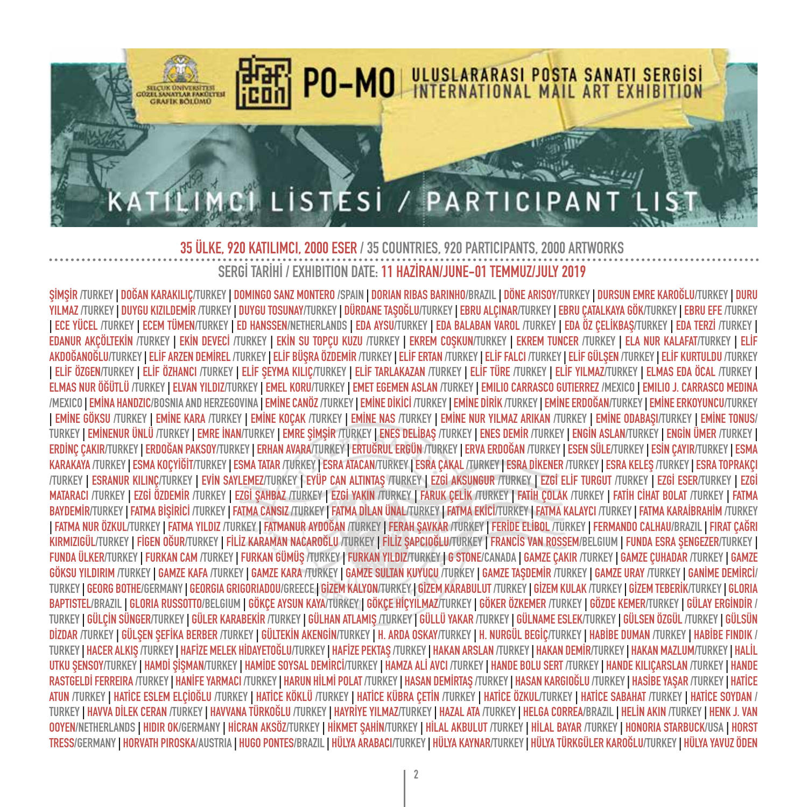

SİMSİR (TURKEY I DOĞAN KARAKILIC/TURKEY I DOMINGO SANZ MONTERO /SPAIN I DORIAN RIBAS BARINHO/BRAZIL I DÖNE ARISOY/TURKEY I DURSUN EMRE KAROĞLU/TURKEY I DURU YILMAZ /TURKEY | DUYGU KIZILDEMİR /TURKEY | DUYGU TOSUNAY/TURKEY | DÜRDANE TAŞOĞLU/TURKEY | EBRU ALÇINAR/TURKEY | EBRU ÇATALKAYA GÖK/TURKEY | EBRU EFE /TURKEY **| ECE YÜCEL /TURKEY | ECEM TÜMEN/TURKEY | ED HANSSEN/NETHERLANDS | EDA AYSU/TURKEY | EDA BALABAN VAROL /TURKEY | EDA ÖZ ÇELİKBAŞ/TURKEY | EDA TERZİ /TURKEY |**  EDANUR AKÇÖLTEKİN /TURKEY | EKİN DEVECİ /TURKEY | EKİN SU TOPÇU KUZU /TURKEY | EKREM COŞKUN/TURKEY | EKREM TUNCER /TURKEY | ELA NUR KALAFAT/TURKEY | ELİF AKDOĞANOĞLU/TURKEY I ELİF ARZEN DEMİREL /TURKEY I ELİF BÜSRA ÖZDEMİR /TURKEY I ELİF FATAN /TURKEY I ELİF FALCI /TURKEY I ELİF GÜLSEN /TURKEY I ELİF KURTULDU /TURKEY | ELİF ÖZGEN/TURKEY | ELİF ÖZHANCI /TURKEY | ELİF ŞEYMA KILIÇ/TURKEY | ELİF TARLAKAZAN /TURKEY | ELİF TÜRKEY | ELİF YILMAZ/TURKEY | ELMAS EDA ÖCAL /TURKEY | ELMAS NUR ÖĞÜTLÜ /TURKEY | ELVAN YILDIZ/TURKEY | EMEL KORU/TURKEY | EMET EGEMEN ASLAN /TURKEY | EMILIO CARRASCO GUTIERREZ /MEXICO | EMILIO J. CARRASCO MEDINA /MEXICO | EMINA HANDZIC/BOSNIA AND HERZEGOVINA | EMINE CANÖZ/TURKEY | EMINE DIRICI/TURKEY | EMINE DIRIK/TURKEY | EMINE ERDOĞAN/TURKEY | EMINE ERROYUNCU/TURKEY I EMINE GÖKSU /TURKEY I EMINE KARA /TURKEY I EMINE KOCAK /TURKEY I EMINE NAS /TURKEY I EMINE NUR YILMAZ ARIKAN /TURKEY I EMINE ODABASI/TURKEY I EMINE TONUS/ TURKEY I EMİNENUR ÜNLÜ /TURKEY I EMRE İNAN/TURKEY I EMRE SİMSİR /TURKEY I EMES DELİBAS /TURKEY I EMES DEMİR /TURKEY I ENGİN ASLAN/TURKEY I ENGİN ÜMER /TURKEY I ERDINÇ ÇAKIR/TURKEY | ERDOĞAN PAKSOY/TURKEY | ERHAN AVARA/TURKEY | ERTUĞRUL ERGÜN /TURKEY | ERVA ERDOĞAN /TURKEY | ESEN SÜLE/TURKEY | ESİN ÇAYIR/TURKEY | ESMA KARAKAYA /TURKEY | ESMA KOÇYİĞİT/TURKEY | ESMA TATAR /TURKEY | ESRA ATACAN/TURKEY | ESRA ÇAKAL /TURKEY | ESRA DIKENER /TURKEY | ESRA KELEŞ /TURKEY | ESRA TOPRAKÇI /TURKEY | ESRANUR KILINÇ/TURKEY | EVİN SAYLEMEZ/TURKEY | EYÜP CAN ALTINTAŞ /TURKEY | EZGİ AKSUNGUR /TURKEY | EZGİ ELİF TURGUT /TURKEY | EZGİ ESER/TURKEY | EZGİ MATARACI /TURKEY | EZGİ ÖZDEMİR /TURKEY | EZGİ SAHBAZ /TURKEY | EZGİ YAKIN /TURKEY | FARUK CELİK /TURKEY | FATİH COLAK /TURKEY | FATİH CİHAT BOLAT /TURKEY | FATMA BAYDEMİR/TURKEY I FATMA BİSİRİCİ /TURKEY I FATMA CANSIZ /TURKEY I FATMA DİLAN ÜNAL/TURKEY I FATMA KEYLI FATMA KALAYCI /TURKEY I FATMA KARAİBRAHİM /TURKEY | FATMA NUR ÖZKUL/TURKEY | FATMA YILDIZ /TURKEY | FATMANUR AYDOĞAN /TURKEY | FERAH SAVKAR /TURKEY | FERİDE ELİBOL /TURKEY | FERMANDO CALHAU/BRAZIL | FIRAT ÇAĞRI KIRMIZIGÜL/TURKEY | FİGEN OĞUR/TURKEY | FİLİZ KARAMAN NACAROĞLU/TURKEY | FİLİZ SAPCIOĞLU/TURKEY | FRANCİS VAN ROSSEM/BELGIUM | FUNDA ESRA SENGEZER/TURKEY | FUNDA ÜLKER/TURKEY | FURKAN CAM /TURKEY | FURKAN GÜMÜŞ /TURKEY | FURKAN YILDIZ/TURKEY | G STONE/CANADA | GAMZE CAKIR /TURKEY | GAMZE CUHADAR /TURKEY | GAMZE GÖKSU YILDIRIM /TURKEY | GAMZE KAFA /TURKEY | GAMZE KARA /TURKEY | GAMZE SULTAN KUYUCU /TURKEY | GAMZE TAŞDEMİR /TURKEY | GAMZE URAY /TURKEY | GAMİME DEMİRCİ/ TURKEY I GEORG BOTHE/GERMANY I GEORGIA GRIGORIADOU/GREECE I GIZEM KALYON/TURKEY I GIZEM KARABULUT /TURKEY I GIZEM KULAK /TURKEY I GIZEM TEBERIK/TURKEY I GLORIA BAPTISTEL/BRAZIL | GLORIA RUSSOTTO/BELGIUM | GÖKÇE AYSUN KAYA/TÜRKEY| GÖKÇE HİÇYILMAZ/TURKEY | GÖKER ÖZKEMER /TURKEY | GÖZDE KEMER/TURKEY | GÜLAY ERGİNDİR / TURKEY | GÜLCİN SÜNGER/TURKEY | GÜLER KARABEKİR /TURKEY | GÜLHAN ATLAMIS /TURKEY | GÜLLÜ YAKAR /TURKEY | GÜLAMME ESLEK/TURKEY | GÜLSEN ÖZGÜL /TURKEY | GÜLSÜN DİZDAR /TURKEY | GÜLSEN SEFİKA BERBER /TURKEY | GÜLTEKİN AKENGİN/TURKEY | H. ARDA OSKAY/TURKEY | H. NURGÜL BEGİC/TURKEY | HABİBE DUMAN /TURKEY | HABİBE FINDIK / TURKEY | HACER ALKIŞ /TURKEY | HAFİZE MELEK HİDAYETOĞLU/TURKEY | HAFİZE PEKTAŞ /TURKEY | HAKAN ARSLAN /TURKEY | HAKAN DEMİR/TURKEY | HAKAN MAZLUM/TURKEY | HALİL UTKU ŞENSOY/TURKEY | HAMDİ ŞİŞMAN/TURKEY | HAMİDE SOYSAL DEMİRCİ/TURKEY | HAMZA ALİ AVCI /TURKEY | HANDE BOLU SERT /TURKEY | HANDE KILIÇARSLAN /TURKEY | HANDE RASTGELDİ FERREIRA /TURKEY | HANİFE YARMACI /TURKEY | HARUN HİLMİ POLAT /TURKEY | HASAN DEMİRTAŞ /TURKEY | HASAN KARGIOĞLU /TURKEY | HASİBE YAŞAR /TURKEY | HATİCE ATUN /TURKEY | HATİCE ESLEM ELCİOĞLU /TURKEY | HATİCE KÖKLÜ /TURKEY | HATİCE KÜBRA CETİN /TURKEY | HATİCE ÖZKUL/TURKEY | HATİCE SABAHAT /TURKEY | HATİCE SOYDAN / TURKEY | HAVVA DİLEK CERAN /TURKEY | HAVVANA TÜRKOĞLU /TURKEY | HAYRİYE YILMAZ/TURKEY | HAZAL ATA /TURKEY | HELGA CORREA/BRAZIL | HELİN AKIN /TURKEY | HENK J. VAN OOYEN/NETHERLANDS | HIDIR OK/GERMANY | HİCRAN AKSÖZ/TURKEY | HİKMET SAHİN/TURKEY | HİLAL AKBULUT /TURKEY | HİLAL BAYAR /TURKEY | HONORIA STARBUCK/USA | HORST **TRESS/GERMANY | HORVATH PIROSKA/AUSTRIA | HUGO PONTES/BRAZIL | HÜLYA ARABACI/TURKEY | HÜLYA KAYNAR/TURKEY | HÜLYA TÜRKGÜLER KAROĞLU/TURKEY | HÜLYA YAVUZ ÖDEN**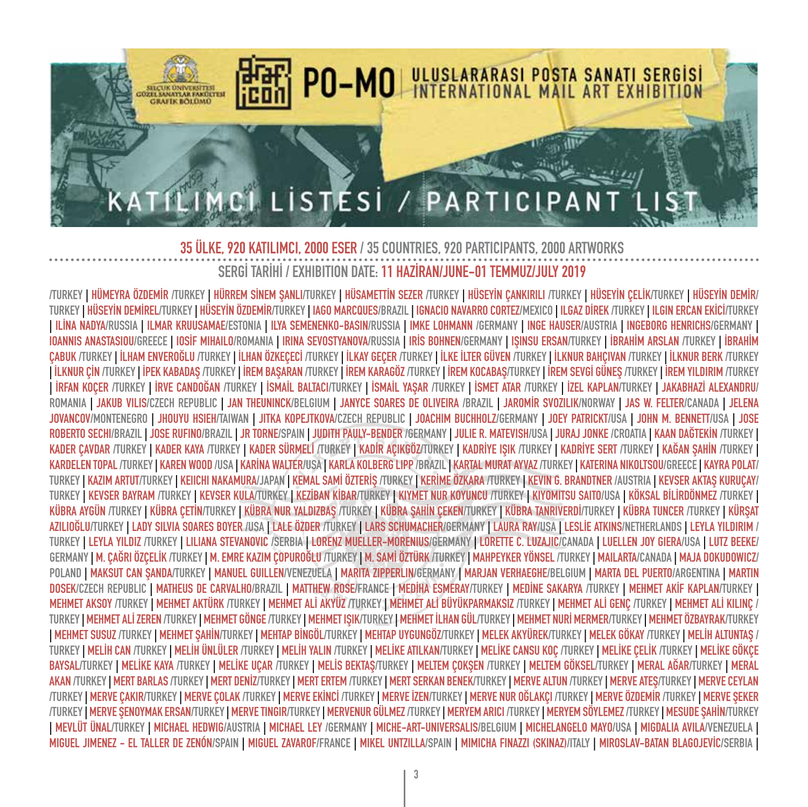

TURKEY I HÜMEYRA ÖZDEMİR TURKEY I HÜRREM SİNEM SANLITURKEY I HÜSAMETTİN SEZER TURKEY I HÜSEYİN CANKIRILI TURKEY I HÜSEYİN CELİKTURKEY I HÜSEYİN DEMİR/ TURKEY | HÜSEYİN DEMİREL/TURKEY | HÜSEYİN ÖZDEMİR/TURKEY | IAGO MARCQUES/BRAZIL | IGNACIO NAVARRO CORTEZ/MEXICO | ILGAZ DİREK /TURKEY | ILGIN ERCAN EKİCİ/TURKEY I ILINA NADYA/RUSSIA I ILMAR KRUUSAMAE/ESTONIA I ILYA SEMENENKO-BASIN/RUSSIA I IMKE LOHMANN /GERMANY I INGE HAUSER/AUSTRIA I INGEBORG HENRICHS/GERMANY I IOANNIS ANASTASIOU/GREECE | IOSIF MIHAILO/ROMANIA | IRINA SEVOSTYANOVA/RUSSIA | IRIS BOHNEN/GERMANY | IŞINSU ERSAN/TURKEY | İBRAHİM ARSLAN /TURKEY | İBRAHİM ÇABUK /TURKEY | İLHAM ENVEROĞLU /TURKEY | İLHAN ÖZKEÇECİ /TURKEY | İLKAY GEÇER /TURKEY | İLKE İLTER GÜVEN /TURKEY | İLKNUR BAHÇIVAN /TURKEY | İLKNUR BERK /TURKEY TİLKNUR ÇİN /TURKEYTİPEK KABADAŞ /TURKEYTİREM BAŞARAN /TURKEYTİREM KARAGÖZ /TURKEYTİREM KOCABAŞ/TURKEYTİREM SEVGİ GÜNEŞ /TURKEYTİREM YILDIRIM /TURKEY I İRFAN KOÇER /TURKEY | İRVE CANDOĞAN /TURKEY | İSMAİL BALTACI/TURKEY | İSMAİL YAŞAR /TURKEY | İSMET ATAR /TURKEY | İZEL KAPLAN/TURKEY | JAKABHAZİ ALEXANDRU/ ROMANIA | JAKUB VILIS/CZECH REPUBLIC | JAN THEUNINCK/BELGIUM | JANYCE SOARES DE OLIVEIRA /BRAZIL | JAROMÍR SVOZILIK/NORWAY | JAS W. FELTER/CANADA | JELENA **JOVANCOV/MONTENEGRO | JHOUYU HSIEH/TAIWAN | JITKA KOPEJTKOVA/CZECH REPUBLIC | JOACHIM BUCHHOLZ/GERMANY | JOEY PATRICKT/USA | JOHN M. BENNETT/USA | JOSE**  ROBERTO SECHI/BRAZIL I JOSE RUFINO/BRAZIL I JR TORNE/SPAIN I JUDITH PAULY-BENDER /GERMANY I JULIE R. MATEVISH/USA I JURAJ JONKE /CROATIA I KAAN DAĞTEKİN /TURKEY I KADER CAVDAR /TURKEY | KADER KAYA /TURKEY | KADER SÜRMELI /TURKEY | KADIR AÇIKGÖZ/TURKEY | KADRİYE SIK /TURKEY | KADRİYE SERT /TURKEY | KAĞAN ŞAHİN /TURKEY | **KARDELEN TOPAL /TURKEY | KAREN WOOD /USA | KARİNA WALTER/USA | KARLA KOLBERG LIPP /BRAZIL | KARTAL MURAT AYVAZ /TURKEY | KATERINA NIKOLTSOU/GREECE | KAYRA POLAT/** TURKEY | KAZIM ARTUT/TURKEY | KEIICHI NAKAMURA/JAPAN | KEMAL SAMI ÖZTERIŞ /TURKEY | KERIME ÖZKARA /TURKEY | KEVIN G. BRANDTNER /AUSTRIA | KEVSER AKTAŞ KURUÇAY/ TURKEY | KEVSER BAYRAM /TURKEY | KEVSER KULA/TURKEY | KEZİBAN KİBAR/TURKEY | KIYMET NUR KOYUNCU /TURKEY | KIYOMITSU SAITO/USA | KÖKSAL BİLİRDÖNMEZ /TURKEY | KÜBRA AYGÜN /TURKEY | KÜBRA ÇETİN/TURKEY | KÜBRA NUR YALDIZBAŞ /TURKEY | KÜBRA ŞAHİN ÇEKEN/TURKEY | KÜBRA TANRIVERDİ/TURKEY | KÜBRA TUNCER /TURKEY | KÜRŞAT AZILIOĞLU/TURKEY | LADY SILVIA SOARES BOYER /USA | LALE ÖZDER /TURKEY | LARS SCHUMACHER/GERMANY | LAURA RAY/USA | LESLİE ATKINS/NETHERLANDS | LEYLA YILDIRIM / **TURKEY | LEYLA YILDIZ /TURKEY | LILIANA STEVANOVIC /SERBIA | LORENZ MUELLER-MORENIUS/GERMANY | LORETTE C. LUZAJIC/CANADA | LUELLEN JOY GIERA/USA | LUTZ BEEKE/** GERMANY | M. CAĞRI ÖZCELİK /TURKEY | M. EMRE KAZIM COPUROĞLU /TURKEY | M. SAMİ ÖZTÜRK /TURKEY | MAHPEYKER YÖNSEL /TURKEY | MAILARTA/CANADA | MAJA DOKUDOWICZ/ POLAND | MAKSUT CAN ŞANDA/TURKEY | MANUEL GUILLEN/VENEZUELA | MARITA ZIPPERLIN/GERMANY | MARJAN VERHAEGHE/BELGIUM | MARTA DEL PUERTO/ARGENTINA | MARTIN DOSEK/CZECH REPUBLIC I MATHEUS DE CARVALHO/BRAZIL I MATTHEW ROSE/FRANCE I MEDIHA ESMERAY/TURKEY I MEDINE SAKARYA /TURKEY I MEHMET AKIF KAPLAN/TURKEY I MEHMET AKSOY /TURKEY | MEHMET AKTÜRK /TURKEY | MEHMET ALİ AKYÜZ /TURKEY | MEHMET ALİ BÜYÜKPARMAKSIZ /TURKEY | MEHMET ALİ GENÇ /TURKEY | MEHMET ALİ KILINÇ / TURKEY | MEHMET ALI ZEREN /TURKEY | MEHMET GÖNGE /TURKEY | MEHMET ISIK/TURKEY\_I MEHMET LHAN GÜL/TURKEY | MEHMET NURI MERMER/TURKEY | MEHMET ÖZBAYRAK/TURKEY <u>| MEHMET SUSUZ /TURKEY | MEHMET SAHİN/TURKEY | MEHTAP BİNGÖL/TURKEY | MEHTAP UYGUNGÖZ/TURKEY | MELEK AKYÜREK/TURKEY | MELEK GÖKAY /TURKEY | MELİH ALTUNTAS /</u> TURKEY | MELİH CAN /TURKEY | MELİH ÜNLÜLER /TURKEY | MELİH YALIN /TURKEY | MELİKE ATILKAN/TURKEY | MELİKE CANSU KOÇ /TURKEY | MELİKE ÇELİK /TURKEY | MELİKE GÖKÇE BAYSAL/TURKEY | MELİKE KAYA /TURKEY | MELİKE UÇAR /TURKEY | MELİS BEKTAŞ/TURKEY | MELTEM QÖKŞEL (NELTEM GÖKSEL/TURKEY | MERAL AĞAR/TURKEY | MERAL AKAN /TURKEY | MERT BARLAS /TURKEY | MERT DENİZ/TURKEY | MERT ERTEM /TURKEY | MERT SERKAN BENEK/TURKEY | MERVE ALTUN /TURKEY | MERVE ATEŞ/TURKEY | MERVE CEYLAN TURKEY | MERVE CAKIRTURKEY | MERVE COLAK TURKEY | MERVE EKİNCİ TURKEY | MERVE İZENTURKEY | MERVE NUR OĞLAKCI TURKEY | MERVE ÖZDEMİR TURKEY | MERVE SEKER /TURKEY | MERVE ŞENOYMAK ERSAN/TURKEY | MERVE TINGIR/TURKEY | MERVENUR GÜLMEZ /TURKEY | MERYEM ARICI /TURKEY | MERYEM SÖYLEMEZ /TURKEY | MESUDE ŞAHİN/TURKEY | MEVLÜT ÜNAL/TURKEY | MICHAEL HEDWIG/AUSTRIA | MICHAEL LEY /GERMANY | MICHE-ART-UNIVERSALIS/BELGIUM | MICHELANGELO MAYO/USA | MIGDALIA AVILA/VENEZUELA | MIGUEL JIMENEZ – EL TALLER DE ZENÓN/SPAIN | MIGUEL ZAVAROF/FRANCE | MIKEL UNTZILLA/SPAIN | MIMICHA FINAZZI (SKINAZ)/ITALY | MIROSLAV-BATAN BLAGOJEVÍC/SERBIA |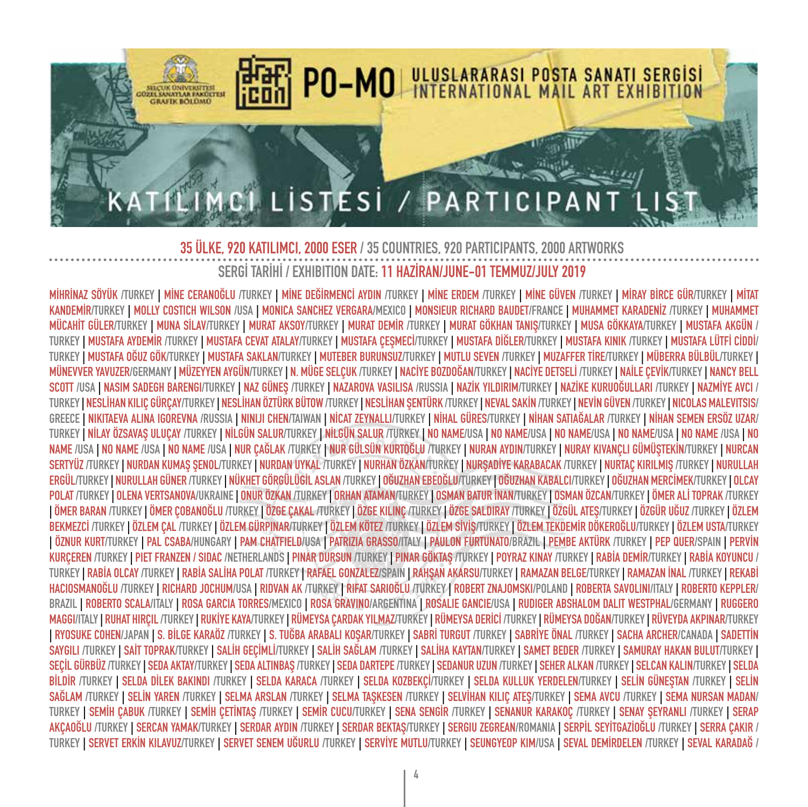

MİHRİNAZ SÖYÜK /TURKEY I MİNE CERANOĞLU /TURKEY I MİNE DEĞİRMENCİ AYDIN /TURKEY I MİNE ERDEM /TURKEY I MİNE GÜVEN /TURKEY I MİRAY BİRCE GÜR/TURKEY I MİTAT KANDEMIR/TURKEY I MOLLY COSTICH WILSON /USA I MONICA SANCHEZ VERGARA/MEXICO I MONSIEUR RICHARD BAUDET/FRANCE I MUHAMMET KARADENIZ /TURKEY I MUHAMMET MÜCAHİT GÜLER/TURKEY | MUNA SİLAV/TURKEY | MURAT AKSOY/TURKEY | MURAT DEMİR /TURKEY | MURAT GÖKHAN TANIS/TURKEY | MUSA GÖKKAYA/TURKEY | MUSTAFA AKGÜN / TURKEY | MUSTAFA AYDEMİR /TURKEY | MUSTAFA CEVAT ATALAY/TURKEY | MUSTAFA ÇEŞMECİ/TURKEY | MUSTAFA DİĞLER/TURKEY | MUSTAFA KINIK /TURKEY | MUSTAFA LÜTFİ CİDDİ/ TURKEY I MUSTAFA OĞUZ GÖK/TURKEY I MUSTAFA SAKLAN/TURKEY I MUTEBER BURUNSUZ/TURKEY I MUTLU SEVEN /TURKEY I MUZAFFER TİRE/TURKEY I MÜBERRA BÜLBÜL/TURKEY I MÜNEVVER YAVUZER/GERMANY | MÜZEYYEN AYGÜN/TURKEY | N. MÜGE SELÇUK /TURKEY | NACİYE BOZDOĞAN/TURKEY | NACİYE DETSELİ /TURKEY | NAİLE ÇEVİK/TURKEY | NANCY BELL SCOTT /USA | NASIM SADEGH BARENGI/TURKEY | NAZ GÜNEŞ /TURKEY | NAZAROVA VASILISA /RUSSIA | NAZİK YILDIRIM/TURKEY | NAZİKE KURUOĞULLARI /TURKEY | NAZMİYE AVCI / TURKEY | NESLİHAN KILIÇ GÜRÇAY/TURKEY | NESLİHAN ÖZTÜRK BÜTOW /TURKEY | NESLİHAN ŞENTÜRK /TURKEY | NEVAL SAKİN /TURKEY | NEVİN GÜVEN /TURKEY | NICOLAS MALEVITSIS/ **GREECE | NIKITAEVA ALINA IGOREVNA /RUSSIA | NINIJI CHEN/TAIWAN | NİCAT ZEYNALLI/TURKEY | NİHAL GÜRES/TURKEY | NİHAN SATIAĞALAR /TURKEY | NİHAN SEMEN ERSÖZ UZAR/** TURKEY I NİLAY ÖZSAVAS ULUCAY /TURKEY I NİLGÜN SALUR/TURKEY I NİLGÜN SALUR /TURKEY I NO NAME/USA I NO NAME/USA I NO NAME/USA I NO NAME/USA I NO NAME /USA I NO NAME /USA | NO NAME /USA | NO NAME /USA | NUR CAĞLAK /TURKEY | NUR GÜLSÜN KURTOĞLU /TURKEY | NURAN AYDIN/TURKEY | NURAY KIVANÇLI GÜMÜŞTEKİN/TURKEY | NURCAN SERTYÜZ /TURKEY | NURDAN KUMAŞ ŞENOL/TURKEY | NURDAN UYKAL /TURKEY | NURHAN ÖZKAN/TURKEY | NURŞADİYE KARABACAK /TURKEY | NURTAÇ KIRILMIŞ /TURKEY | NURULLAH **ERGÜL/TURKEY | NURULLAH GÜNER /TURKEY | NÜKHET GÖRGÜLÜGİL ASLAN /TURKEY | OĞUZHAN EBEOĞLU/TURKEY | OĞUZHAN KABALCI/TURKEY | OĞUZHAN MERCİMEK/TURKEY | OLCAY**  POLAT /TURKEY | OLENA VERTSANOVA/UKRAINE | ONUR ÖZKAN /TURKEY | ORHAN ATAMAN/TURKEY | OSMAN BATUR İNAN/TURKEY | OSMAN ÖZCAN/TURKEY | ÖMER ALİ TOPRAK /TURKEY I ÖMER BARAN /TURKEY I ÖMER COBANOĞLU /TURKEY I ÖZGE CAKAL /TURKEY I ÖZGE KILINC /TURKEY I ÖZGE SALDIRAY /TURKEY I ÖZGÜL ATES/TURKEY I ÖZGÜR UĞUZ /TURKEY I ÖZLEM BEKMEZCI /TURKEY | ÖZLEM CAL /TURKEY | ÖZLEM GÜRPINAR/TURKEY | ÖZLEM KÖTEZ /TURKEY | ÖZLEM SIVIŞ/TURKEY | ÖZLEM TEKDEMIR DÖKEROĞLU/TURKEY | ÖZLEM USTA/TURKEY I ÖZNUR KURT/TURKEY I PAL CSABA/HUNGARY I PAM CHATFIELD/USA I PATRIZIA GRASSO/ITALY I PAULON FURTUNATO/BRAZIL I PEMBE AKTÜRK /TURKEY I PEP QUER/SPAIN I PERVIN KURÇEREN /TURKEY | PIET FRANZEN / SIDAC /NETHERLANDS | PINAR DURSUN /TURKEY | PINAR GÖKTAŞ /TURKEY | POYRAZ KINAY /TURKEY | RABİA DEMİR/TURKEY | RABİA KOYUNCU / TURKEY | RABİA OLCAY /TURKEY | RABİA SALİHA POLAT /TURKEY | RAFAEL GONZALEZ/SPAIN | RAHŞAN AKARSU/TURKEY | RAMAZAN BELGE/TURKEY | RAMAZAN İNAL /TURKEY | REKABİ **HACIOSMANOĞLU /TURKEY | RICHARD JOCHUM/USA | RIDVAN AK /TURKEY | RIFAT SARIOĞLU /TURKEY | ROBERT ZNAJOMSKI/POLAND | ROBERTA SAVOLINI/ITALY | ROBERTO KEPPLER/ BRAZIL | ROBERTO SCALA/ITALY | ROSA GARCIA TORRES/MEXICO | ROSA GRAVINO/ARGENTINA | ROSALIE GANCIE/USA | RUDIGER ABSHALOM DALIT WESTPHAL/GERMANY | RUGGERO**  MAGGI/ITALY | RUHAT HIRCIL /TURKEY | RUKİYE KAYA/TURKEY | RÜMEYSA CARDAK YILMAZ/TURKEY | RÜMEYSA DERİCİ /TURKEY | RÜMEYSA DOĞAN/TURKEY | RÜVEYDA AKPINAR/TURKEY I RYOSUKE COHEN/JAPAN I S. BİLGE KARAÖZ /TURKEY I S. TUĞBA ARABALI KOSAR/TURKEY | SABRİ TURGUT /TURKEY | SABRİYE ÖNAL /TURKEY | SACHA ARCHER/CANADA | SADETTİN SAYGILI /TURKEY | SAİT TOPRAK/TURKEY | SALİH GEÇİMLİ/TURKEY | SALİH SAĞLAM /TURKEY | SALİHA KAYTAN/TURKEY | SAMET BEDER /TURKEY | SAMURAY HAKAN BULUT/TURKEY | **SEÇİL GÜRBÜZ /TURKEY | SEDA AKTAY/TURKEY | SEDA ALTINBAŞ /TURKEY | SEDA DARTEPE /TURKEY | SEDANUR UZUN /TURKEY | SEHER ALKAN /TURKEY | SELCAN KALIN/TURKEY | SELDA BİLDİR /TURKEY | SELDA DİLEK BAKINDI /TURKEY | SELDA KARACA /TURKEY | SELDA KOZBEKÇİ/TURKEY | SELDA KULLUK YERDELEN/TURKEY | SELİN GÜNEŞTAN /TURKEY | SELİN**  SAĞLAM /TURKEY | SELİN YAREN /TURKEY | SELMA ARSLAN /TURKEY | SELMA TASKESEN /TURKEY | SELVİHAN KILIC ATES/TURKEY | SEMA AVCU /TURKEY | SEMA NURSAN MADAN/ TURKEY | SEMİH ÇABUK /TURKEY | SEMİH ÇETİNTAŞ /TURKEY | SEMİR CUCU/TURKEY | SENA SENGİR /TURKEY | SENANOR /TURKEY | SENAY ŞEYRANLI /TURKEY | SERAP AKCAOĞLU /TURKEY | SERCAN YAMAK/TURKEY | SERDAR AYDIN /TURKEY | SERDAR BEKTAS/TURKEY | SERGIU ZEGREAN/ROMANIA | SERPİL SEYİTGAZİOĞLU /TURKEY | SERRA CAKIR / TURKEY | SERVET ERKİN KILAVUZ/TURKEY | SERVET SENEM UĞURLU /TURKEY | SERVİYE MUTLU/TURKEY | SEUNGYEOP KIM/USA | SEVAL DEMİRDELEN /TURKEY | SEVAL KARADAĞ /